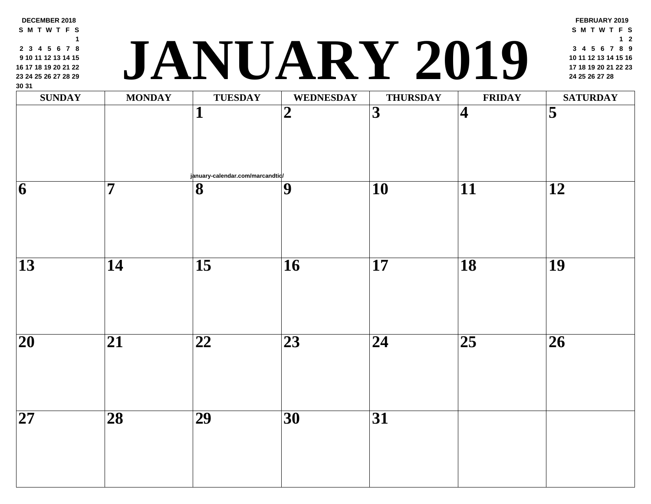| <b>SUNDAY</b>            | <b>MONDAY</b>   | <b>TUESDAY</b>                        | <b>WEDNESDAY</b> | <b>THURSDAY</b> | <b>FRII</b>             |
|--------------------------|-----------------|---------------------------------------|------------------|-----------------|-------------------------|
|                          |                 | 1                                     | $\boldsymbol{2}$ | 3               | $\overline{\mathbf{4}}$ |
| 6                        | 7               | january-calendar.com/marcandtid/<br>8 | $\boldsymbol{9}$ | 10              | 11                      |
|                          |                 |                                       |                  |                 |                         |
| 13                       | 14              | $\overline{15}$                       | 16               | 17              | 18                      |
| $\overline{\mathbf{20}}$ | 21              | 22                                    | 23               | 24              | $\overline{25}$         |
| $\overline{\mathbf{27}}$ | $\overline{28}$ | $\overline{29}$                       | $\overline{30}$  | $\overline{31}$ |                         |

**DECEMBER 2018 S M T W T F S**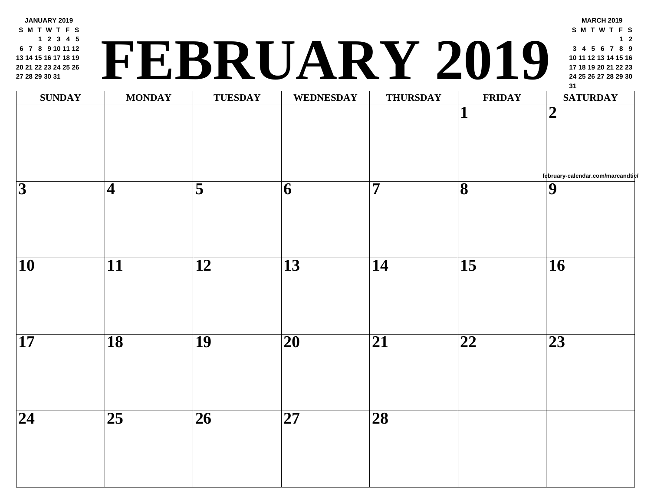**JANUARY 2019 S M T W T F S 2 3 4 5 7 8 9 10 11 12 14 15 16 17 18 19 21 22 23 24 25 26 28 29 30 31**

## **<sup>24</sup> <sup>25</sup> <sup>26</sup> <sup>27</sup> <sup>28</sup> <sup>29</sup> <sup>30</sup> FEBRUARY 2019**

| <b>SUNDAY</b>           | <b>MONDAY</b>            | <b>TUESDAY</b>  | WEDNESDAY       | <b>THURSDAY</b>         | FRII                         |
|-------------------------|--------------------------|-----------------|-----------------|-------------------------|------------------------------|
|                         |                          |                 |                 |                         | $\mathbf{1}$                 |
| $\overline{\mathbf{3}}$ | $\vert 4 \vert$          | $\overline{5}$  | $\overline{6}$  | $\overline{\mathbf{7}}$ | $\overline{\mathbf{8}}$      |
| $\overline{10}$         | $\overline{\mathbf{11}}$ | $\overline{12}$ | $\overline{13}$ | $\overline{14}$         | $\overline{15}$              |
| $\overline{17}$         | $\overline{18}$          | $\overline{19}$ | $\overline{20}$ | $\overline{21}$         | $\overline{\boldsymbol{22}}$ |
| $\overline{24}$         | $\overline{25}$          | $\overline{26}$ | $\overline{27}$ | $\overline{28}$         |                              |
|                         |                          |                 |                 |                         |                              |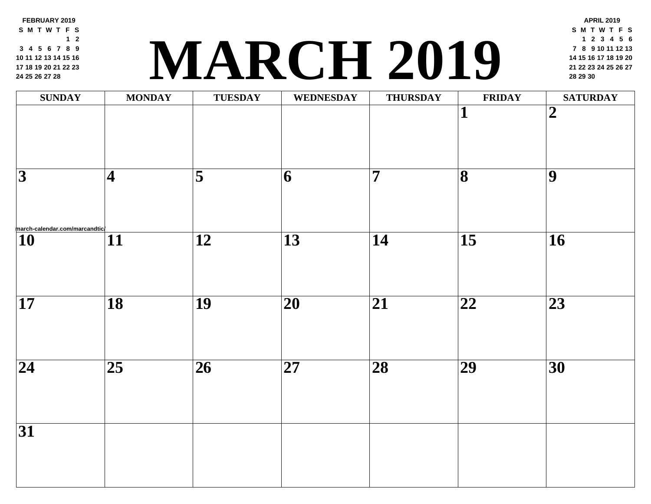**FEBRUARY 2019 S M T W T F S 2 4 5 6 7 8 9 11 12 13 14 15 16 18 19 20 21 22 23 25 26 27 28**

### **<sup>21</sup> <sup>22</sup> <sup>23</sup> <sup>24</sup> <sup>25</sup> <sup>26</sup> <sup>27</sup> MARCH 2019 <sup>28</sup> <sup>29</sup> <sup>30</sup>**

| <b>SUNDAY</b>                                                                                           | <b>MONDAY</b>          | <b>TUESDAY</b>          | WEDNESDAY                | <b>THURSDAY</b> | FRII                    |
|---------------------------------------------------------------------------------------------------------|------------------------|-------------------------|--------------------------|-----------------|-------------------------|
|                                                                                                         |                        |                         |                          |                 | $\mathbf{1}$            |
| $\overline{3}$                                                                                          | $\vert\mathbf{4}\vert$ | $\overline{\mathbf{5}}$ | 6                        | 7               | $\overline{\mathbf{8}}$ |
| $\overbrace{\left  \begin{matrix} 1 0 \ 0 \end{matrix} \right }^{\text{March-calendar.com/marcandtic}}$ | $\overline{11}$        | $\overline{12}$         | $\overline{13}$          | $\overline{14}$ | $\overline{15}$         |
| $\overline{17}$                                                                                         | $\overline{18}$        | $\overline{19}$         | $\overline{\mathbf{20}}$ | $\overline{21}$ | $\overline{22}$         |
| $\overline{24}$                                                                                         | $\overline{25}$        | $\overline{26}$         | $\overline{\mathbf{27}}$ | $\overline{28}$ | $\overline{29}$         |
| $\overline{31}$                                                                                         |                        |                         |                          |                 |                         |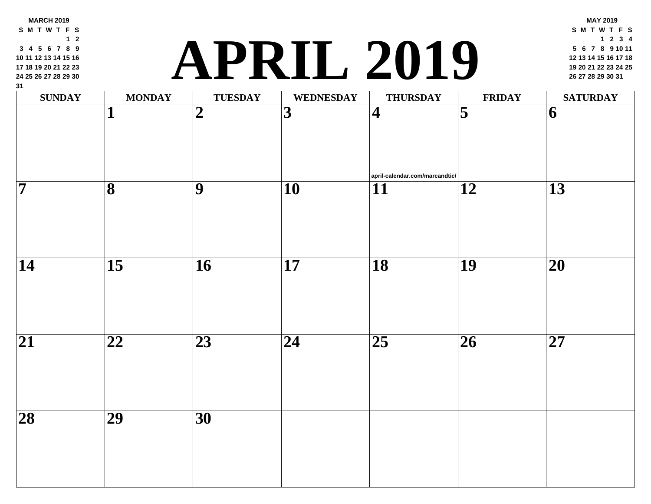# **<sup>19</sup> <sup>20</sup> <sup>21</sup> <sup>22</sup> <sup>23</sup> <sup>24</sup> <sup>25</sup> APRIL 2019 <sup>26</sup> <sup>27</sup> <sup>28</sup> <sup>29</sup> <sup>30</sup> <sup>31</sup>**

| $\mathbf{v}$<br>$\mathbf{SUNDAY}$ | <b>MONDAY</b>           | <b>TUESDAY</b>  | <b>WEDNESDAY</b>        | <b>THURSDAY</b>                                           | FRII            |
|-----------------------------------|-------------------------|-----------------|-------------------------|-----------------------------------------------------------|-----------------|
|                                   | $\mathbf{1}$            | $\overline{2}$  | $\overline{\mathbf{3}}$ | $\vert 4 \vert$                                           | $\overline{5}$  |
| $\overline{\mathbf{7}}$           | $\overline{\mathbf{8}}$ | $\overline{9}$  | $\overline{10}$         | $ $ april-calendar.com/marcandtic/ $ $<br>$\overline{11}$ | $\overline{12}$ |
| $\overline{14}$                   | $\overline{15}$         | $\overline{16}$ | $\overline{17}$         | $\overline{18}$                                           | $\overline{19}$ |
| $\overline{21}$                   | $\overline{22}$         | $\overline{23}$ | $\overline{24}$         | $\overline{25}$                                           | $\overline{26}$ |
| $\overline{28}$                   | $\overline{29}$         | $\overline{30}$ |                         |                                                           |                 |
|                                   |                         |                 |                         |                                                           |                 |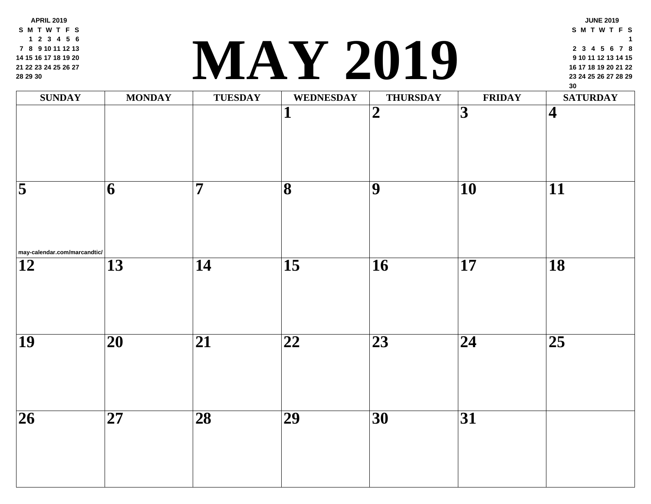**APRIL 2019 S M T W T F S 2 3 4 5 6 8 9 10 11 12 13 15 16 17 18 19 20 22 23 24 25 26 27 29 30**

#### **<sup>23</sup> <sup>24</sup> <sup>25</sup> <sup>26</sup> <sup>27</sup> <sup>28</sup> <sup>29</sup> MAY 2019**

| <b>SUNDAY</b>                                           | <b>MONDAY</b>   | TUESDAY         | WEDNESDAY               | <b>THURSDAY</b>         | FRII                    |
|---------------------------------------------------------|-----------------|-----------------|-------------------------|-------------------------|-------------------------|
|                                                         |                 |                 | ┸                       | $\overline{\mathbf{2}}$ | $\overline{\mathbf{3}}$ |
| $\overline{\mathbf{5}}$<br>may-calendar.com/marcandtic/ | 6               | $\overline{7}$  | $\overline{\mathbf{8}}$ | $\overline{9}$          | $\overline{10}$         |
| $\overline{12}$                                         | $\overline{13}$ | $\overline{14}$ | $\overline{15}$         | $\overline{16}$         | $\overline{17}$         |
| $\overline{19}$                                         | $\overline{20}$ | $\overline{21}$ | $\overline{22}$         | $\overline{23}$         | $\overline{24}$         |
| $\overline{26}$                                         | $\overline{27}$ | $\overline{28}$ | $\overline{29}$         | $\overline{30}$         | $\overline{31}$         |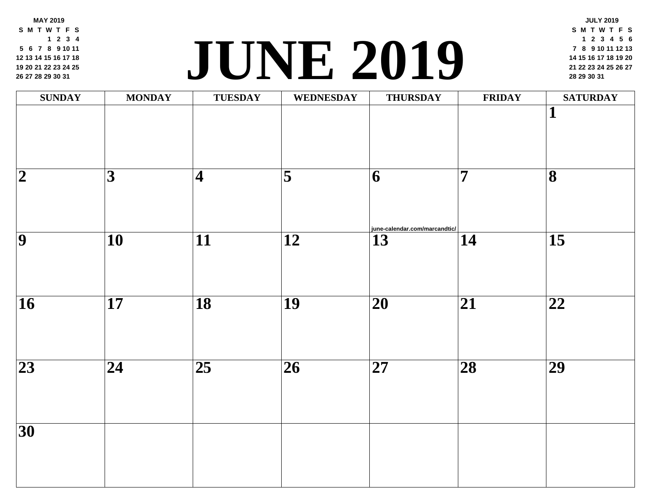**MAY 2019 S M T W T F S 2 3 4 6 7 8 9 10 11 13 14 15 16 17 18 20 21 22 23 24 25 27 28 29 30 31**

#### **<sup>21</sup> <sup>22</sup> <sup>23</sup> <sup>24</sup> <sup>25</sup> <sup>26</sup> <sup>27</sup> JUNE [2019](http://june-calendar.com/marcandtic/) <sup>28</sup> <sup>29</sup> <sup>30</sup> <sup>31</sup>**

| <b>SUNDAY</b>            | <b>MONDAY</b>   | <b>TUESDAY</b>          | WEDNESDAY               | <b>THURSDAY</b>                    | FRII            |
|--------------------------|-----------------|-------------------------|-------------------------|------------------------------------|-----------------|
|                          |                 |                         |                         |                                    |                 |
| $\overline{\mathbf{2}}$  | $\overline{3}$  | $\overline{\mathbf{4}}$ | $\overline{\mathbf{5}}$ | 6<br>june-calendar.com/marcandtic/ | $\overline{7}$  |
| $\overline{\bm{9}}$      | $\overline{10}$ | $\overline{11}$         | $\overline{12}$         | $\overline{13}$                    | $\overline{14}$ |
| $\overline{\mathbf{16}}$ | $\overline{17}$ | $\overline{18}$         | $\overline{19}$         | $\overline{20}$                    | $\overline{21}$ |
| $\overline{23}$          | $\overline{24}$ | $\overline{25}$         | $\overline{26}$         | $\overline{27}$                    | $\overline{28}$ |
| $\overline{30}$          |                 |                         |                         |                                    |                 |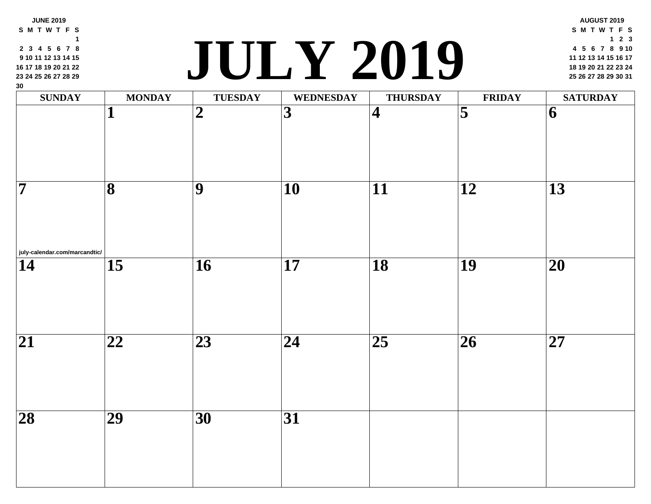| 9 10 11 12 13 14 15<br>16 17 18 19 20 21 22<br>23 24 25 26 27 28 29<br>30 |                         |                 | JULY ZUIY               |                         |                         |
|---------------------------------------------------------------------------|-------------------------|-----------------|-------------------------|-------------------------|-------------------------|
| <b>SUNDAY</b>                                                             | <b>MONDAY</b>           | <b>TUESDAY</b>  | <b>WEDNESDAY</b>        | <b>THURSDAY</b>         | FRII                    |
|                                                                           |                         | $\overline{2}$  | $\overline{\mathbf{3}}$ | $\overline{\mathbf{4}}$ | $\overline{\mathbf{5}}$ |
| 7                                                                         | $\overline{\mathbf{8}}$ | $\overline{9}$  | 10                      | $\overline{11}$         | $\overline{12}$         |
| july-calendar.com/marcandtic/<br>14                                       | $\overline{15}$         | $\overline{16}$ | $\overline{17}$         | $\overline{18}$         | $\overline{19}$         |
| $\overline{21}$                                                           | $\overline{22}$         | $\overline{23}$ | $\overline{24}$         | $\overline{25}$         | $\overline{26}$         |
| $\overline{28}$                                                           | $\overline{29}$         | 30              | $\overline{31}$         |                         |                         |
|                                                                           |                         |                 |                         |                         |                         |

**S M T W T F S 3 4 5 6 7 8**

**JUNE 2019**

#### **<sup>18</sup> <sup>19</sup> <sup>20</sup> <sup>21</sup> <sup>22</sup> <sup>23</sup> <sup>24</sup> JULY 2019 <sup>25</sup> <sup>26</sup> <sup>27</sup> <sup>28</sup> <sup>29</sup> <sup>30</sup> <sup>31</sup>**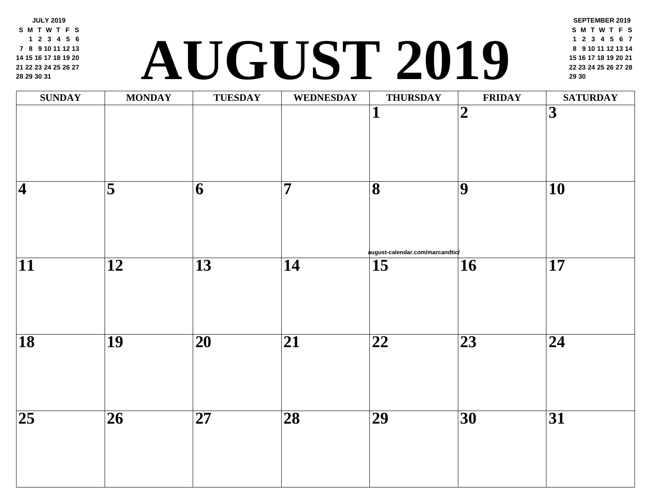**JULY 2019 S M T W T F S 2 3 4 5 6 8 9 10 11 12 13 15 16 17 18 19 20 22 23 24 25 26 27 29 30 31**

### **<sup>22</sup> <sup>23</sup> <sup>24</sup> <sup>25</sup> <sup>26</sup> <sup>27</sup> <sup>28</sup> AUGUST 2019 <sup>29</sup> <sup>30</sup>**

| <b>SUNDAY</b>   | <b>MONDAY</b>           | <b>TUESDAY</b>           | <b>WEDNESDAY</b> | <b>THURSDAY</b>                                            | FRII                     |
|-----------------|-------------------------|--------------------------|------------------|------------------------------------------------------------|--------------------------|
|                 |                         |                          |                  | 1                                                          | $\overline{\mathbf{2}}$  |
| $\overline{4}$  | $\overline{\mathbf{5}}$ | 6                        | $\overline{7}$   | $\overline{\mathbf{8}}$<br>august-calendar.com/marcandtic/ | $\overline{9}$           |
| $\overline{11}$ | $\overline{12}$         | $\overline{13}$          | $\overline{14}$  | $\overline{15}$                                            | $\overline{\mathbf{16}}$ |
| $\overline{18}$ | $\overline{19}$         | $\overline{\mathbf{20}}$ | $\overline{21}$  | $\overline{\mathbf{22}}$                                   | $\overline{23}$          |
| $\overline{25}$ | $\overline{26}$         | $\overline{27}$          | $\overline{28}$  | $\overline{29}$                                            | $\overline{30}$          |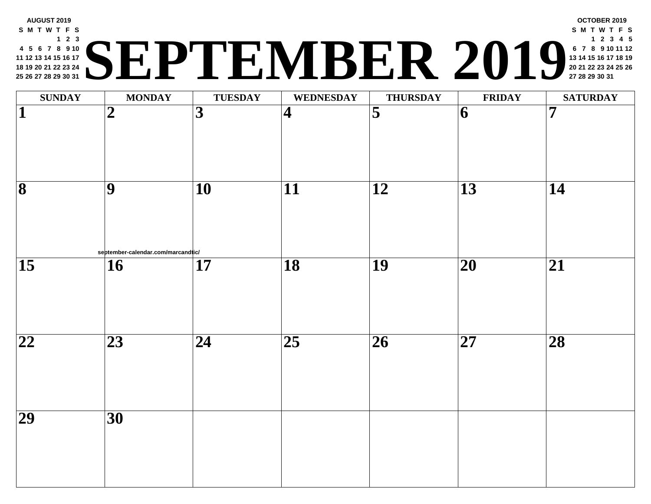#### **AUGUST 2019 S M T W T F S 2 3 5 6 7 8 9 10 12 13 14 15 16 17 19 20 21 22 23 24 26 27 28 29 30 31 <sup>20</sup> <sup>21</sup> <sup>22</sup> <sup>23</sup> <sup>24</sup> <sup>25</sup> <sup>26</sup> SEPTEMBER 2019 <sup>27</sup> <sup>28</sup> <sup>29</sup> <sup>30</sup> <sup>31</sup>**

| <b>SUNDAY</b>            | <b>MONDAY</b>                                         | <b>TUESDAY</b>  | <b>WEDNESDAY</b>        | <b>THURSDAY</b>         | <b>FRII</b>              |
|--------------------------|-------------------------------------------------------|-----------------|-------------------------|-------------------------|--------------------------|
| $\overline{\mathbf{1}}$  | $\boldsymbol{2}$                                      | $\overline{3}$  | $\overline{\mathbf{4}}$ | $\overline{\mathbf{5}}$ | $\vert 6 \vert$          |
| $\overline{\mathbf{8}}$  | $\overline{9}$                                        | $\overline{10}$ | $\overline{11}$         | $\overline{12}$         | $\overline{13}$          |
| $\overline{15}$          | september-calendar.com/marcandtic/<br>$\overline{16}$ | $\overline{17}$ | $\overline{18}$         | $\overline{19}$         | $\overline{\mathbf{20}}$ |
| $\overline{\mathbf{22}}$ | $\overline{23}$                                       | $\overline{24}$ | $\overline{25}$         | $\overline{26}$         | $\overline{\mathbf{27}}$ |
| $\overline{29}$          | $\overline{30}$                                       |                 |                         |                         |                          |
|                          |                                                       |                 |                         |                         |                          |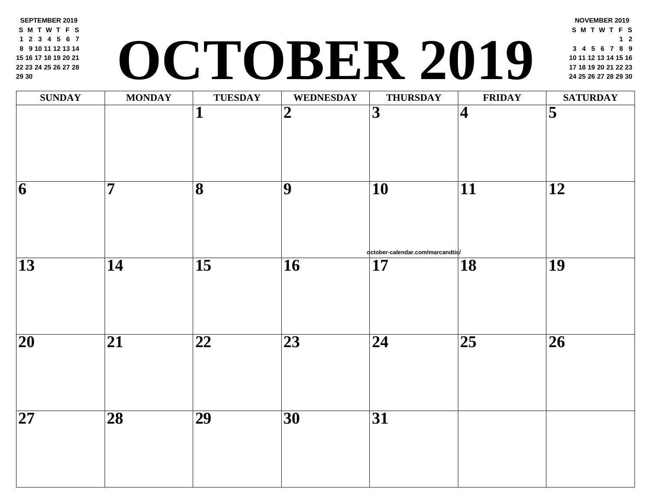**SEPTEMBER 2019 S M T W T F S 2 3 4 5 6 7 9 10 11 12 13 14 16 17 18 19 20 21 23 24 25 26 27 28 30**

# **<sup>17</sup> <sup>18</sup> <sup>19</sup> <sup>20</sup> <sup>21</sup> <sup>22</sup> <sup>23</sup> OCTOBER 2019 <sup>24</sup> <sup>25</sup> <sup>26</sup> <sup>27</sup> <sup>28</sup> <sup>29</sup> <sup>30</sup>**

| $\overline{3}$<br>$\overline{\mathbf{1}}$<br>$\overline{2}$<br>$\vert 4 \vert$<br>$\overline{\mathbf{7}}$<br>$\overline{\mathbf{8}}$<br>$\overline{9}$<br>$\overline{10}$<br>$\overline{11}$<br>$\overline{\mathbf{6}}$<br>qctober-calendar.com/marcandtiq/<br>$\overline{15}$<br>$\overline{13}$<br>$\overline{18}$<br>$\overline{14}$<br>$\overline{16}$<br>$\overline{17}$ | <b>SUNDAY</b> | <b>MONDAY</b> | <b>TUESDAY</b> | <b>WEDNESDAY</b> | <b>THURSDAY</b> | FRII |
|-------------------------------------------------------------------------------------------------------------------------------------------------------------------------------------------------------------------------------------------------------------------------------------------------------------------------------------------------------------------------------|---------------|---------------|----------------|------------------|-----------------|------|
|                                                                                                                                                                                                                                                                                                                                                                               |               |               |                |                  |                 |      |
|                                                                                                                                                                                                                                                                                                                                                                               |               |               |                |                  |                 |      |
|                                                                                                                                                                                                                                                                                                                                                                               |               |               |                |                  |                 |      |
| $\overline{25}$<br>$\overline{20}$<br>$\overline{21}$<br>$\overline{\mathbf{22}}$<br>$\overline{23}$<br>$\overline{24}$                                                                                                                                                                                                                                                       |               |               |                |                  |                 |      |
| $\overline{29}$<br>$\overline{27}$<br>$\overline{28}$<br>$\overline{31}$<br>$\overline{30}$                                                                                                                                                                                                                                                                                   |               |               |                |                  |                 |      |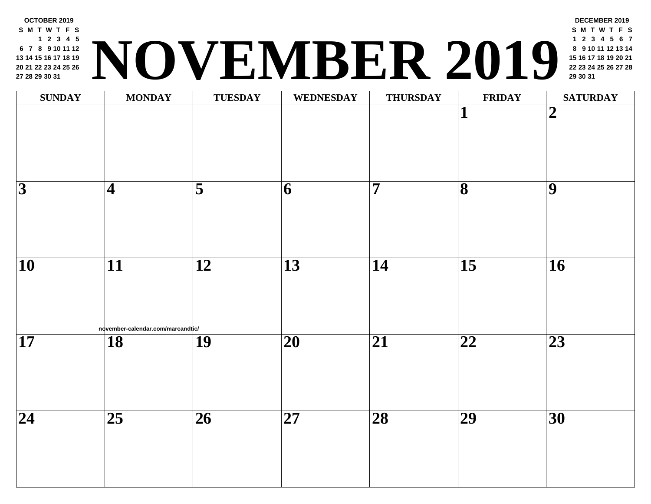

| <b>SUNDAY</b>            | <b>MONDAY</b>                     | <b>TUESDAY</b>      | <b>WEDNESDAY</b> | <b>THURSDAY</b>         | FRII                     |
|--------------------------|-----------------------------------|---------------------|------------------|-------------------------|--------------------------|
|                          |                                   |                     |                  |                         | $\overline{\mathbf{1}}$  |
|                          |                                   |                     |                  |                         |                          |
|                          |                                   |                     |                  |                         |                          |
|                          |                                   |                     |                  |                         |                          |
| $\overline{3}$           | $\vert\mathbf{4}% \rangle$        | $\overline{\bf{5}}$ | 6                | $\overline{\mathbf{7}}$ | $\overline{\mathbf{8}}$  |
|                          |                                   |                     |                  |                         |                          |
|                          |                                   |                     |                  |                         |                          |
|                          |                                   |                     |                  |                         |                          |
| $\overline{\mathbf{10}}$ | $\overline{11}$                   | $\overline{12}$     | $\overline{13}$  | $\overline{14}$         | $\overline{15}$          |
|                          |                                   |                     |                  |                         |                          |
|                          |                                   |                     |                  |                         |                          |
|                          | november-calendar.com/marcandtic/ |                     |                  |                         |                          |
| $\overline{\mathbf{17}}$ | $\overline{18}$                   | $\overline{19}$     | $\overline{20}$  | $\overline{21}$         | $\overline{\mathbf{22}}$ |
|                          |                                   |                     |                  |                         |                          |
|                          |                                   |                     |                  |                         |                          |
|                          |                                   |                     |                  |                         |                          |
| $\overline{24}$          | $\overline{25}$                   | $\overline{26}$     | $\overline{27}$  | $\overline{28}$         | $\overline{29}$          |
|                          |                                   |                     |                  |                         |                          |
|                          |                                   |                     |                  |                         |                          |
|                          |                                   |                     |                  |                         |                          |